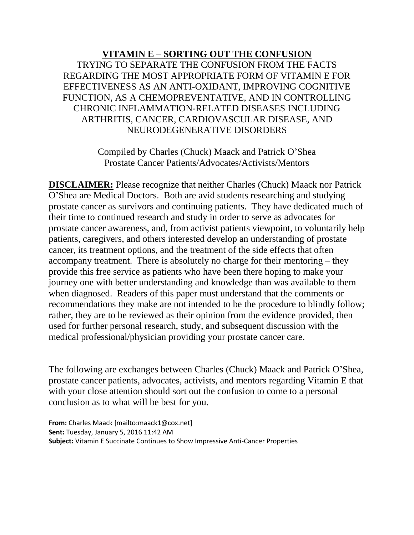## **VITAMIN E – SORTING OUT THE CONFUSION** TRYING TO SEPARATE THE CONFUSION FROM THE FACTS REGARDING THE MOST APPROPRIATE FORM OF VITAMIN E FOR EFFECTIVENESS AS AN ANTI-OXIDANT, IMPROVING COGNITIVE FUNCTION, AS A CHEMOPREVENTATIVE, AND IN CONTROLLING CHRONIC INFLAMMATION-RELATED DISEASES INCLUDING ARTHRITIS, CANCER, CARDIOVASCULAR DISEASE, AND NEURODEGENERATIVE DISORDERS

Compiled by Charles (Chuck) Maack and Patrick O'Shea Prostate Cancer Patients/Advocates/Activists/Mentors

**DISCLAIMER:** Please recognize that neither Charles (Chuck) Maack nor Patrick O'Shea are Medical Doctors. Both are avid students researching and studying prostate cancer as survivors and continuing patients. They have dedicated much of their time to continued research and study in order to serve as advocates for prostate cancer awareness, and, from activist patients viewpoint, to voluntarily help patients, caregivers, and others interested develop an understanding of prostate cancer, its treatment options, and the treatment of the side effects that often accompany treatment. There is absolutely no charge for their mentoring – they provide this free service as patients who have been there hoping to make your journey one with better understanding and knowledge than was available to them when diagnosed. Readers of this paper must understand that the comments or recommendations they make are not intended to be the procedure to blindly follow; rather, they are to be reviewed as their opinion from the evidence provided, then used for further personal research, study, and subsequent discussion with the medical professional/physician providing your prostate cancer care.

The following are exchanges between Charles (Chuck) Maack and Patrick O'Shea, prostate cancer patients, advocates, activists, and mentors regarding Vitamin E that with your close attention should sort out the confusion to come to a personal conclusion as to what will be best for you.

**From:** Charles Maack [mailto:maack1@cox.net] **Sent:** Tuesday, January 5, 2016 11:42 AM **Subject:** Vitamin E Succinate Continues to Show Impressive Anti-Cancer Properties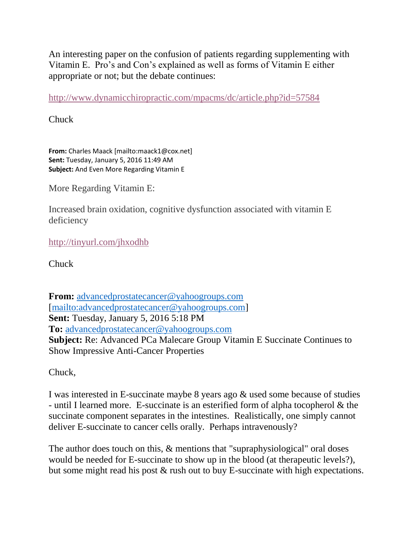An interesting paper on the confusion of patients regarding supplementing with Vitamin E. Pro's and Con's explained as well as forms of Vitamin E either appropriate or not; but the debate continues:

<http://www.dynamicchiropractic.com/mpacms/dc/article.php?id=57584>

Chuck

**From:** Charles Maack [mailto:maack1@cox.net] **Sent:** Tuesday, January 5, 2016 11:49 AM **Subject:** And Even More Regarding Vitamin E

More Regarding Vitamin E:

Increased brain oxidation, cognitive dysfunction associated with vitamin E deficiency

<http://tinyurl.com/jhxodhb>

**Chuck** 

**From:** [advancedprostatecancer@yahoogroups.com](mailto:advancedprostatecancer@yahoogroups.com) [\[mailto:advancedprostatecancer@yahoogroups.com\]](mailto:advancedprostatecancer@yahoogroups.com) **Sent:** Tuesday, January 5, 2016 5:18 PM **To:** [advancedprostatecancer@yahoogroups.com](mailto:advancedprostatecancer@yahoogroups.com) **Subject:** Re: Advanced PCa Malecare Group Vitamin E Succinate Continues to Show Impressive Anti-Cancer Properties

Chuck,

I was interested in E-succinate maybe 8 years ago & used some because of studies - until I learned more. E-succinate is an esterified form of alpha tocopherol & the succinate component separates in the intestines. Realistically, one simply cannot deliver E-succinate to cancer cells orally. Perhaps intravenously?

The author does touch on this,  $\&$  mentions that "supraphysiological" oral doses would be needed for E-succinate to show up in the blood (at therapeutic levels?), but some might read his post & rush out to buy E-succinate with high expectations.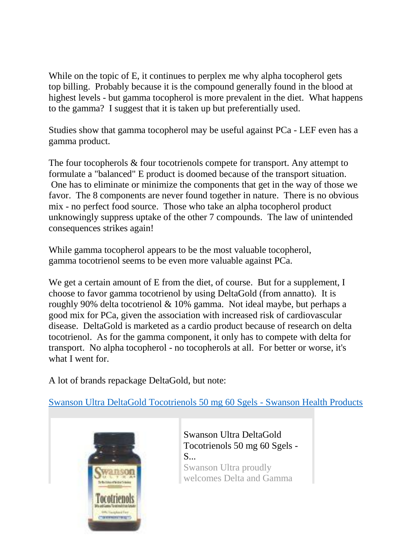While on the topic of E, it continues to perplex me why alpha tocopherol gets top billing. Probably because it is the compound generally found in the blood at highest levels - but gamma tocopherol is more prevalent in the diet. What happens to the gamma? I suggest that it is taken up but preferentially used.

Studies show that gamma tocopherol may be useful against PCa - LEF even has a gamma product.

The four tocopherols  $\&$  four tocotrienols compete for transport. Any attempt to formulate a "balanced" E product is doomed because of the transport situation. One has to eliminate or minimize the components that get in the way of those we favor. The 8 components are never found together in nature. There is no obvious mix - no perfect food source. Those who take an alpha tocopherol product unknowingly suppress uptake of the other 7 compounds. The law of unintended consequences strikes again!

While gamma tocopherol appears to be the most valuable tocopherol, gamma tocotrienol seems to be even more valuable against PCa.

We get a certain amount of E from the diet, of course. But for a supplement, I choose to favor gamma tocotrienol by using DeltaGold (from annatto). It is roughly 90% delta tocotrienol & 10% gamma. Not ideal maybe, but perhaps a good mix for PCa, given the association with increased risk of cardiovascular disease. DeltaGold is marketed as a cardio product because of research on delta tocotrienol. As for the gamma component, it only has to compete with delta for transport. No alpha tocopherol - no tocopherols at all. For better or worse, it's what I went for.

A lot of brands repackage DeltaGold, but note:

[Swanson Ultra DeltaGold Tocotrienols 50 mg 60 Sgels -](http://www.swansonvitamins.com/swanson-ultra-deltagold-tocotrienols-50-mg-60-sgels) Swanson Health Products



[Swanson Ultra DeltaGold](http://www.swansonvitamins.com/swanson-ultra-deltagold-tocotrienols-50-mg-60-sgels)  [Tocotrienols 50 mg 60 Sgels -](http://www.swansonvitamins.com/swanson-ultra-deltagold-tocotrienols-50-mg-60-sgels) [S...](http://www.swansonvitamins.com/swanson-ultra-deltagold-tocotrienols-50-mg-60-sgels)

Swanson Ultra proudly welcomes Delta and Gamma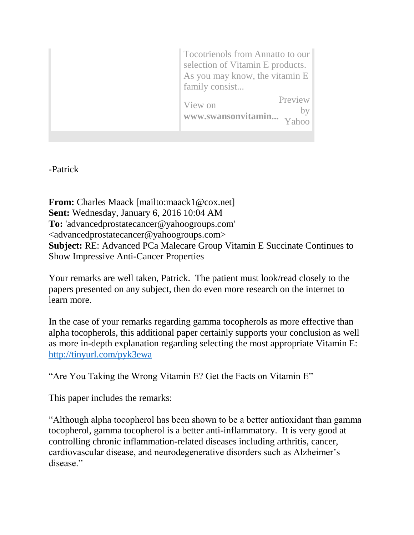| <b>Tocotrienols from Annatto to our</b><br>selection of Vitamin E products.<br>As you may know, the vitamin E<br>family consist |
|---------------------------------------------------------------------------------------------------------------------------------|
| Preview<br>View on<br>www.swansonvitamin                                                                                        |

-Patrick

**From:** Charles Maack [mailto:maack1@cox.net] **Sent:** Wednesday, January 6, 2016 10:04 AM **To:** 'advancedprostatecancer@yahoogroups.com' <advancedprostatecancer@yahoogroups.com> **Subject:** RE: Advanced PCa Malecare Group Vitamin E Succinate Continues to Show Impressive Anti-Cancer Properties

Your remarks are well taken, Patrick. The patient must look/read closely to the papers presented on any subject, then do even more research on the internet to learn more.

In the case of your remarks regarding gamma tocopherols as more effective than alpha tocopherols, this additional paper certainly supports your conclusion as well as more in-depth explanation regarding selecting the most appropriate Vitamin E: <http://tinyurl.com/pyk3ewa>

"Are You Taking the Wrong Vitamin E? Get the Facts on Vitamin E"

This paper includes the remarks:

"Although alpha tocopherol has been shown to be a better antioxidant than gamma tocopherol, gamma tocopherol is a better anti-inflammatory. It is very good at controlling chronic inflammation-related diseases including arthritis, cancer, cardiovascular disease, and neurodegenerative disorders such as Alzheimer's disease."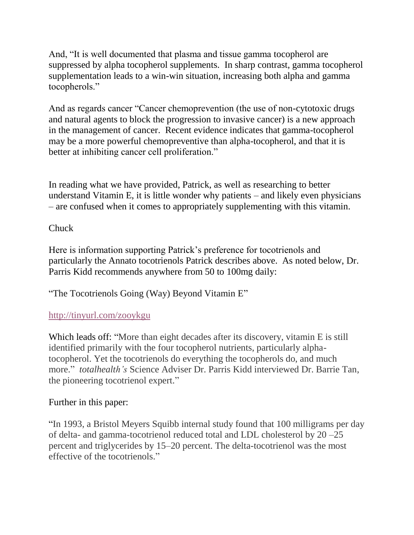And, "It is well documented that plasma and tissue gamma tocopherol are suppressed by alpha tocopherol supplements. In sharp contrast, gamma tocopherol supplementation leads to a win-win situation, increasing both alpha and gamma tocopherols."

And as regards cancer "Cancer chemoprevention (the use of non-cytotoxic drugs and natural agents to block the progression to invasive cancer) is a new approach in the management of cancer. Recent evidence indicates that gamma-tocopherol may be a more powerful chemopreventive than alpha-tocopherol, and that it is better at inhibiting cancer cell proliferation."

In reading what we have provided, Patrick, as well as researching to better understand Vitamin E, it is little wonder why patients – and likely even physicians – are confused when it comes to appropriately supplementing with this vitamin.

## Chuck

Here is information supporting Patrick's preference for tocotrienols and particularly the Annato tocotrienols Patrick describes above. As noted below, Dr. Parris Kidd recommends anywhere from 50 to 100mg daily:

["The Tocotrienols Going \(Way\) Beyond Vitamin E"](http://www.totalhealthmagazine.com/Vitamins-and-Supplements/The-Tocotrienols-Going-Way-Beyond-Vitamin-E.html)

## <http://tinyurl.com/zooykgu>

Which leads off: "More than eight decades after its discovery, vitamin E is still identified primarily with the four tocopherol nutrients, particularly alphatocopherol. Yet the tocotrienols do everything the tocopherols do, and much more." *totalhealth's* Science Adviser Dr. Parris Kidd interviewed Dr. Barrie Tan, the pioneering tocotrienol expert."

## Further in this paper:

"In 1993, a Bristol Meyers Squibb internal study found that 100 milligrams per day of delta- and gamma-tocotrienol reduced total and LDL cholesterol by 20 –25 percent and triglycerides by 15–20 percent. The delta-tocotrienol was the most effective of the tocotrienols."